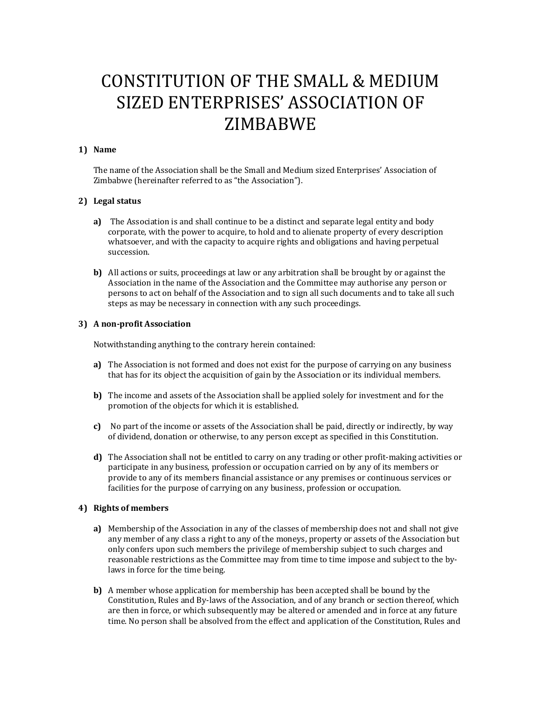# CONSTITUTION OF THE SMALL & MEDIUM SIZED ENTERPRISES' ASSOCIATION OF ZIMBABWE

# **1) Name**

The name of the Association shall be the Small and Medium sized Enterprises' Association of Zimbabwe (hereinafter referred to as "the Association").

# **2) Legal status**

- **a)** The Association is and shall continue to be a distinct and separate legal entity and body corporate, with the power to acquire, to hold and to alienate property of every description whatsoever, and with the capacity to acquire rights and obligations and having perpetual succession.
- **b)** All actions or suits, proceedings at law or any arbitration shall be brought by or against the Association in the name of the Association and the Committee may authorise any person or persons to act on behalf of the Association and to sign all such documents and to take all such steps as may be necessary in connection with any such proceedings.

# **3) A non-profit Association**

Notwithstanding anything to the contrary herein contained:

- **a)** The Association is not formed and does not exist for the purpose of carrying on any business that has for its object the acquisition of gain by the Association or its individual members.
- **b)** The income and assets of the Association shall be applied solely for investment and for the promotion of the objects for which it is established.
- **c)** No part of the income or assets of the Association shall be paid, directly or indirectly, by way of dividend, donation or otherwise, to any person except as specified in this Constitution.
- **d)** The Association shall not be entitled to carry on any trading or other profit-making activities or participate in any business, profession or occupation carried on by any of its members or provide to any of its members financial assistance or any premises or continuous services or facilities for the purpose of carrying on any business, profession or occupation.

# **4) Rights of members**

- **a)** Membership of the Association in any of the classes of membership does not and shall not give any member of any class a right to any of the moneys, property or assets of the Association but only confers upon such members the privilege of membership subject to such charges and reasonable restrictions as the Committee may from time to time impose and subject to the bylaws in force for the time being.
- **b)** A member whose application for membership has been accepted shall be bound by the Constitution, Rules and By-laws of the Association, and of any branch or section thereof, which are then in force, or which subsequently may be altered or amended and in force at any future time. No person shall be absolved from the effect and application of the Constitution, Rules and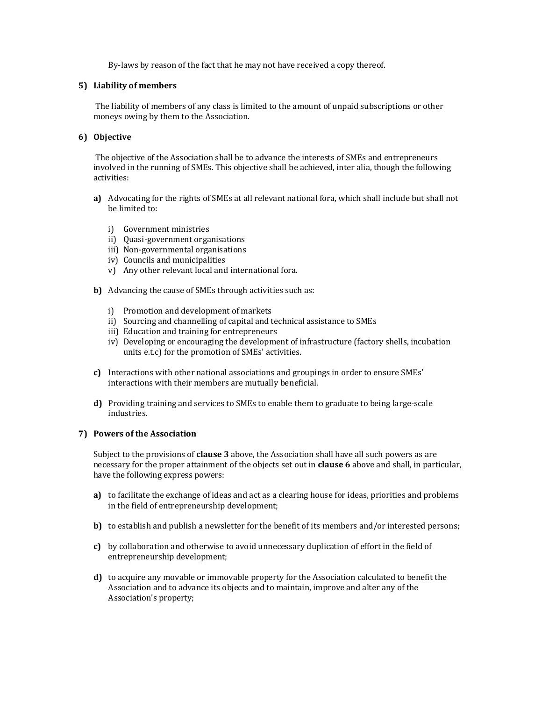By-laws by reason of the fact that he may not have received a copy thereof.

# **5) Liability of members**

The liability of members of any class is limited to the amount of unpaid subscriptions or other moneys owing by them to the Association.

# **6) Objective**

The objective of the Association shall be to advance the interests of SMEs and entrepreneurs involved in the running of SMEs. This objective shall be achieved, inter alia, though the following activities:

- **a)** Advocating for the rights of SMEs at all relevant national fora, which shall include but shall not be limited to:
	- i) Government ministries
	- ii) Quasi-government organisations
	- iii) Non-governmental organisations
	- iv) Councils and municipalities
	- v) Any other relevant local and international fora.
- **b)** Advancing the cause of SMEs through activities such as:
	- i) Promotion and development of markets
	- ii) Sourcing and channelling of capital and technical assistance to SMEs
	- iii) Education and training for entrepreneurs
	- iv) Developing or encouraging the development of infrastructure (factory shells, incubation units e.t.c) for the promotion of SMEs' activities.
- **c)** Interactions with other national associations and groupings in order to ensure SMEs' interactions with their members are mutually beneficial.
- **d)** Providing training and services to SMEs to enable them to graduate to being large-scale industries.

#### **7) Powers of the Association**

Subject to the provisions of **clause 3** above, the Association shall have all such powers as are necessary for the proper attainment of the objects set out in **clause 6** above and shall, in particular, have the following express powers:

- **a)** to facilitate the exchange of ideas and act as a clearing house for ideas, priorities and problems in the field of entrepreneurship development;
- **b)** to establish and publish a newsletter for the benefit of its members and/or interested persons;
- **c)** by collaboration and otherwise to avoid unnecessary duplication of effort in the field of entrepreneurship development;
- **d)** to acquire any movable or immovable property for the Association calculated to benefit the Association and to advance its objects and to maintain, improve and alter any of the Association's property;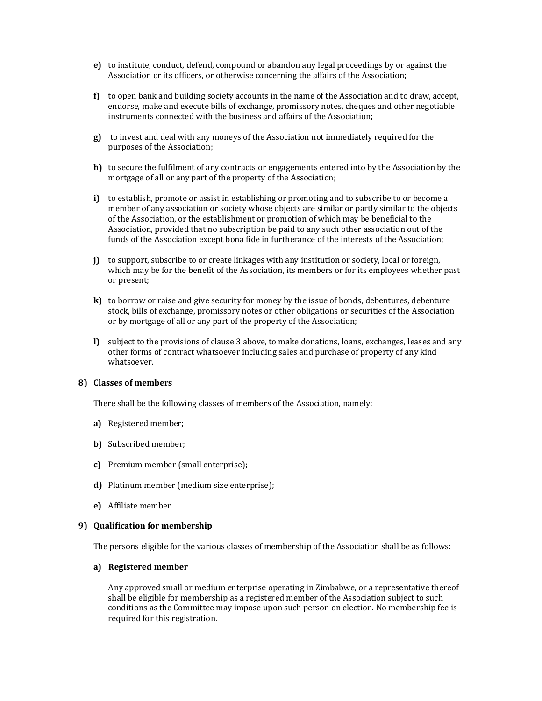- **e)** to institute, conduct, defend, compound or abandon any legal proceedings by or against the Association or its officers, or otherwise concerning the affairs of the Association;
- **f)** to open bank and building society accounts in the name of the Association and to draw, accept, endorse, make and execute bills of exchange, promissory notes, cheques and other negotiable instruments connected with the business and affairs of the Association;
- **g)** to invest and deal with any moneys of the Association not immediately required for the purposes of the Association;
- **h)** to secure the fulfilment of any contracts or engagements entered into by the Association by the mortgage of all or any part of the property of the Association;
- **i)** to establish, promote or assist in establishing or promoting and to subscribe to or become a member of any association or society whose objects are similar or partly similar to the objects of the Association, or the establishment or promotion of which may be beneficial to the Association, provided that no subscription be paid to any such other association out of the funds of the Association except bona fide in furtherance of the interests of the Association;
- **j)** to support, subscribe to or create linkages with any institution or society, local or foreign, which may be for the benefit of the Association, its members or for its employees whether past or present;
- **k)** to borrow or raise and give security for money by the issue of bonds, debentures, debenture stock, bills of exchange, promissory notes or other obligations or securities of the Association or by mortgage of all or any part of the property of the Association;
- **l)** subject to the provisions of clause 3 above, to make donations, loans, exchanges, leases and any other forms of contract whatsoever including sales and purchase of property of any kind whatsoever.

#### **8) Classes of members**

There shall be the following classes of members of the Association, namely:

- **a)** Registered member;
- **b)** Subscribed member;
- **c)** Premium member (small enterprise);
- **d)** Platinum member (medium size enterprise);
- **e)** Affiliate member

# **9) Qualification for membership**

The persons eligible for the various classes of membership of the Association shall be as follows:

#### **a) Registered member**

Any approved small or medium enterprise operating in Zimbabwe, or a representative thereof shall be eligible for membership as a registered member of the Association subject to such conditions as the Committee may impose upon such person on election. No membership fee is required for this registration.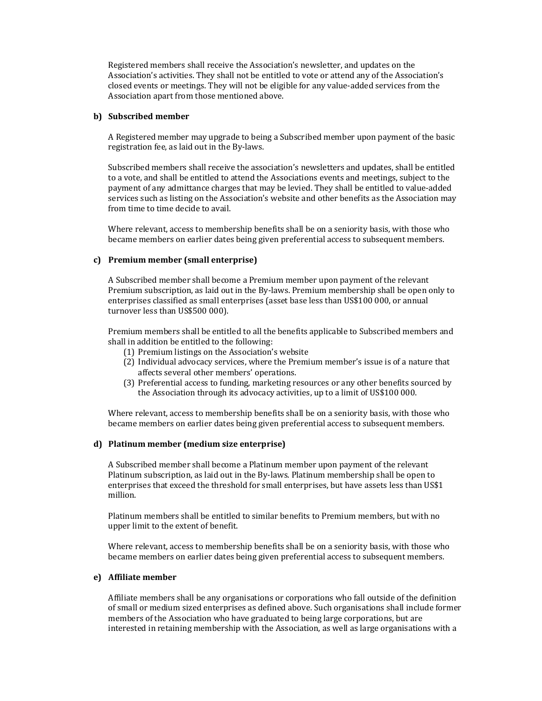Registered members shall receive the Association's newsletter, and updates on the Association's activities. They shall not be entitled to vote or attend any of the Association's closed events or meetings. They will not be eligible for any value-added services from the Association apart from those mentioned above.

## **b) Subscribed member**

A Registered member may upgrade to being a Subscribed member upon payment of the basic registration fee, as laid out in the By-laws.

Subscribed members shall receive the association's newsletters and updates, shall be entitled to a vote, and shall be entitled to attend the Associations events and meetings, subject to the payment of any admittance charges that may be levied. They shall be entitled to value-added services such as listing on the Association's website and other benefits as the Association may from time to time decide to avail.

Where relevant, access to membership benefits shall be on a seniority basis, with those who became members on earlier dates being given preferential access to subsequent members.

## **c) Premium member (small enterprise)**

A Subscribed member shall become a Premium member upon payment of the relevant Premium subscription, as laid out in the By-laws. Premium membership shall be open only to enterprises classified as small enterprises (asset base less than US\$100 000, or annual turnover less than US\$500 000).

Premium members shall be entitled to all the benefits applicable to Subscribed members and shall in addition be entitled to the following:

- (1) Premium listings on the Association's website
- (2) Individual advocacy services, where the Premium member's issue is of a nature that affects several other members' operations.
- (3) Preferential access to funding, marketing resources or any other benefits sourced by the Association through its advocacy activities, up to a limit of US\$100 000.

Where relevant, access to membership benefits shall be on a seniority basis, with those who became members on earlier dates being given preferential access to subsequent members.

# **d) Platinum member (medium size enterprise)**

A Subscribed member shall become a Platinum member upon payment of the relevant Platinum subscription, as laid out in the By-laws. Platinum membership shall be open to enterprises that exceed the threshold for small enterprises, but have assets less than US\$1 million.

Platinum members shall be entitled to similar benefits to Premium members, but with no upper limit to the extent of benefit.

Where relevant, access to membership benefits shall be on a seniority basis, with those who became members on earlier dates being given preferential access to subsequent members.

#### **e) Affiliate member**

Affiliate members shall be any organisations or corporations who fall outside of the definition of small or medium sized enterprises as defined above. Such organisations shall include former members of the Association who have graduated to being large corporations, but are interested in retaining membership with the Association, as well as large organisations with a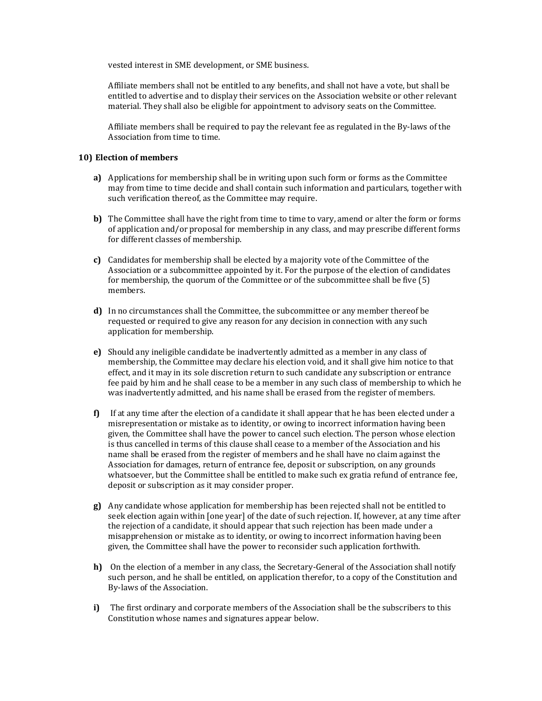vested interest in SME development, or SME business.

Affiliate members shall not be entitled to any benefits, and shall not have a vote, but shall be entitled to advertise and to display their services on the Association website or other relevant material. They shall also be eligible for appointment to advisory seats on the Committee.

Affiliate members shall be required to pay the relevant fee as regulated in the By-laws of the Association from time to time.

# **10) Election of members**

- **a)** Applications for membership shall be in writing upon such form or forms as the Committee may from time to time decide and shall contain such information and particulars, together with such verification thereof, as the Committee may require.
- **b)** The Committee shall have the right from time to time to vary, amend or alter the form or forms of application and/or proposal for membership in any class, and may prescribe different forms for different classes of membership.
- **c)** Candidates for membership shall be elected by a majority vote of the Committee of the Association or a subcommittee appointed by it. For the purpose of the election of candidates for membership, the quorum of the Committee or of the subcommittee shall be five (5) members.
- **d)** In no circumstances shall the Committee, the subcommittee or any member thereof be requested or required to give any reason for any decision in connection with any such application for membership.
- **e)** Should any ineligible candidate be inadvertently admitted as a member in any class of membership, the Committee may declare his election void, and it shall give him notice to that effect, and it may in its sole discretion return to such candidate any subscription or entrance fee paid by him and he shall cease to be a member in any such class of membership to which he was inadvertently admitted, and his name shall be erased from the register of members.
- **f)** If at any time after the election of a candidate it shall appear that he has been elected under a misrepresentation or mistake as to identity, or owing to incorrect information having been given, the Committee shall have the power to cancel such election. The person whose election is thus cancelled in terms of this clause shall cease to a member of the Association and his name shall be erased from the register of members and he shall have no claim against the Association for damages, return of entrance fee, deposit or subscription, on any grounds whatsoever, but the Committee shall be entitled to make such ex gratia refund of entrance fee, deposit or subscription as it may consider proper.
- **g)** Any candidate whose application for membership has been rejected shall not be entitled to seek election again within [one year] of the date of such rejection. If, however, at any time after the rejection of a candidate, it should appear that such rejection has been made under a misapprehension or mistake as to identity, or owing to incorrect information having been given, the Committee shall have the power to reconsider such application forthwith.
- **h)** On the election of a member in any class, the Secretary-General of the Association shall notify such person, and he shall be entitled, on application therefor, to a copy of the Constitution and By-laws of the Association.
- **i)** The first ordinary and corporate members of the Association shall be the subscribers to this Constitution whose names and signatures appear below.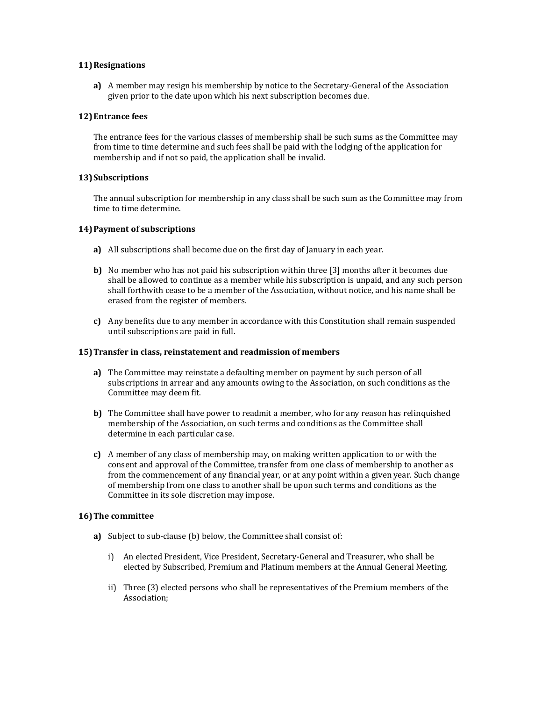## **11)Resignations**

**a)** A member may resign his membership by notice to the Secretary-General of the Association given prior to the date upon which his next subscription becomes due.

## **12)Entrance fees**

The entrance fees for the various classes of membership shall be such sums as the Committee may from time to time determine and such fees shall be paid with the lodging of the application for membership and if not so paid, the application shall be invalid.

## **13)Subscriptions**

The annual subscription for membership in any class shall be such sum as the Committee may from time to time determine.

## **14)Payment of subscriptions**

- **a)** All subscriptions shall become due on the first day of January in each year.
- **b)** No member who has not paid his subscription within three [3] months after it becomes due shall be allowed to continue as a member while his subscription is unpaid, and any such person shall forthwith cease to be a member of the Association, without notice, and his name shall be erased from the register of members.
- **c)** Any benefits due to any member in accordance with this Constitution shall remain suspended until subscriptions are paid in full.

#### **15)Transfer in class, reinstatement and readmission of members**

- **a)** The Committee may reinstate a defaulting member on payment by such person of all subscriptions in arrear and any amounts owing to the Association, on such conditions as the Committee may deem fit.
- **b)** The Committee shall have power to readmit a member, who for any reason has relinquished membership of the Association, on such terms and conditions as the Committee shall determine in each particular case.
- **c)** A member of any class of membership may, on making written application to or with the consent and approval of the Committee, transfer from one class of membership to another as from the commencement of any financial year, or at any point within a given year. Such change of membership from one class to another shall be upon such terms and conditions as the Committee in its sole discretion may impose.

# **16)The committee**

- **a)** Subject to sub-clause (b) below, the Committee shall consist of:
	- i) An elected President, Vice President, Secretary-General and Treasurer, who shall be elected by Subscribed, Premium and Platinum members at the Annual General Meeting.
	- ii) Three (3) elected persons who shall be representatives of the Premium members of the Association;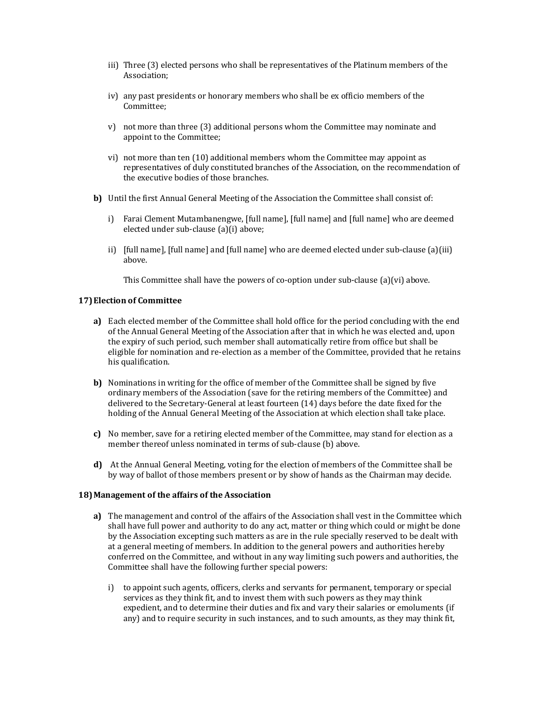- iii) Three (3) elected persons who shall be representatives of the Platinum members of the Association;
- iv) any past presidents or honorary members who shall be ex officio members of the Committee;
- v) not more than three (3) additional persons whom the Committee may nominate and appoint to the Committee;
- vi) not more than ten (10) additional members whom the Committee may appoint as representatives of duly constituted branches of the Association, on the recommendation of the executive bodies of those branches.
- **b)** Until the first Annual General Meeting of the Association the Committee shall consist of:
	- i) Farai Clement Mutambanengwe, [full name], [full name] and [full name] who are deemed elected under sub-clause (a)(i) above;
	- ii) [full name], [full name] and [full name] who are deemed elected under sub-clause (a)(iii) above.

This Committee shall have the powers of co-option under sub-clause (a)(vi) above.

## **17)Election of Committee**

- **a)** Each elected member of the Committee shall hold office for the period concluding with the end of the Annual General Meeting of the Association after that in which he was elected and, upon the expiry of such period, such member shall automatically retire from office but shall be eligible for nomination and re-election as a member of the Committee, provided that he retains his qualification.
- **b)** Nominations in writing for the office of member of the Committee shall be signed by five ordinary members of the Association (save for the retiring members of the Committee) and delivered to the Secretary-General at least fourteen (14) days before the date fixed for the holding of the Annual General Meeting of the Association at which election shall take place.
- **c)** No member, save for a retiring elected member of the Committee, may stand for election as a member thereof unless nominated in terms of sub-clause (b) above.
- **d)** At the Annual General Meeting, voting for the election of members of the Committee shall be by way of ballot of those members present or by show of hands as the Chairman may decide.

#### **18)Management of the affairs of the Association**

- **a)** The management and control of the affairs of the Association shall vest in the Committee which shall have full power and authority to do any act, matter or thing which could or might be done by the Association excepting such matters as are in the rule specially reserved to be dealt with at a general meeting of members. In addition to the general powers and authorities hereby conferred on the Committee, and without in any way limiting such powers and authorities, the Committee shall have the following further special powers:
	- i) to appoint such agents, officers, clerks and servants for permanent, temporary or special services as they think fit, and to invest them with such powers as they may think expedient, and to determine their duties and fix and vary their salaries or emoluments (if any) and to require security in such instances, and to such amounts, as they may think fit,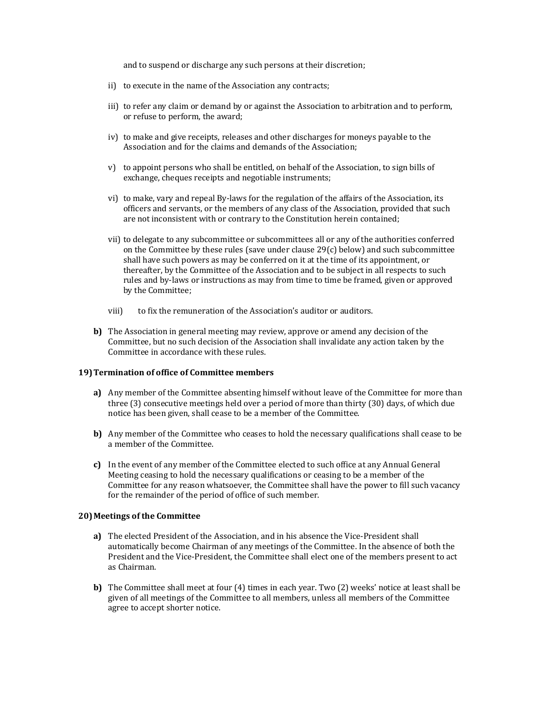and to suspend or discharge any such persons at their discretion;

- ii) to execute in the name of the Association any contracts;
- iii) to refer any claim or demand by or against the Association to arbitration and to perform, or refuse to perform, the award;
- iv) to make and give receipts, releases and other discharges for moneys payable to the Association and for the claims and demands of the Association;
- v) to appoint persons who shall be entitled, on behalf of the Association, to sign bills of exchange, cheques receipts and negotiable instruments;
- vi) to make, vary and repeal By-laws for the regulation of the affairs of the Association, its officers and servants, or the members of any class of the Association, provided that such are not inconsistent with or contrary to the Constitution herein contained;
- vii) to delegate to any subcommittee or subcommittees all or any of the authorities conferred on the Committee by these rules (save under clause  $29(c)$  below) and such subcommittee shall have such powers as may be conferred on it at the time of its appointment, or thereafter, by the Committee of the Association and to be subject in all respects to such rules and by-laws or instructions as may from time to time be framed, given or approved by the Committee;
- viii) to fix the remuneration of the Association's auditor or auditors.
- **b)** The Association in general meeting may review, approve or amend any decision of the Committee, but no such decision of the Association shall invalidate any action taken by the Committee in accordance with these rules.

#### **19)Termination of office of Committee members**

- **a)** Any member of the Committee absenting himself without leave of the Committee for more than three (3) consecutive meetings held over a period of more than thirty (30) days, of which due notice has been given, shall cease to be a member of the Committee.
- **b)** Any member of the Committee who ceases to hold the necessary qualifications shall cease to be a member of the Committee.
- **c)** In the event of any member of the Committee elected to such office at any Annual General Meeting ceasing to hold the necessary qualifications or ceasing to be a member of the Committee for any reason whatsoever, the Committee shall have the power to fill such vacancy for the remainder of the period of office of such member.

#### **20)Meetings of the Committee**

- **a)** The elected President of the Association, and in his absence the Vice-President shall automatically become Chairman of any meetings of the Committee. In the absence of both the President and the Vice-President, the Committee shall elect one of the members present to act as Chairman.
- **b)** The Committee shall meet at four (4) times in each year. Two (2) weeks' notice at least shall be given of all meetings of the Committee to all members, unless all members of the Committee agree to accept shorter notice.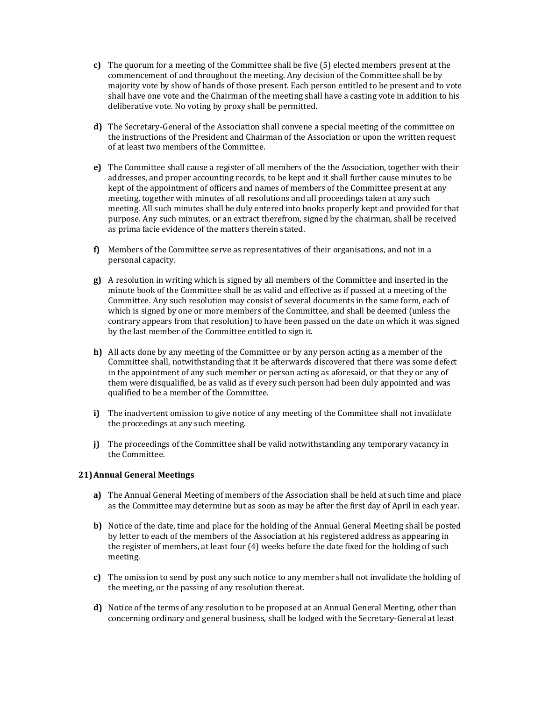- **c)** The quorum for a meeting of the Committee shall be five (5) elected members present at the commencement of and throughout the meeting. Any decision of the Committee shall be by majority vote by show of hands of those present. Each person entitled to be present and to vote shall have one vote and the Chairman of the meeting shall have a casting vote in addition to his deliberative vote. No voting by proxy shall be permitted.
- **d)** The Secretary-General of the Association shall convene a special meeting of the committee on the instructions of the President and Chairman of the Association or upon the written request of at least two members of the Committee.
- **e)** The Committee shall cause a register of all members of the the Association, together with their addresses, and proper accounting records, to be kept and it shall further cause minutes to be kept of the appointment of officers and names of members of the Committee present at any meeting, together with minutes of all resolutions and all proceedings taken at any such meeting. All such minutes shall be duly entered into books properly kept and provided for that purpose. Any such minutes, or an extract therefrom, signed by the chairman, shall be received as prima facie evidence of the matters therein stated.
- **f)** Members of the Committee serve as representatives of their organisations, and not in a personal capacity.
- **g)** A resolution in writing which is signed by all members of the Committee and inserted in the minute book of the Committee shall be as valid and effective as if passed at a meeting of the Committee. Any such resolution may consist of several documents in the same form, each of which is signed by one or more members of the Committee, and shall be deemed (unless the contrary appears from that resolution) to have been passed on the date on which it was signed by the last member of the Committee entitled to sign it.
- **h)** All acts done by any meeting of the Committee or by any person acting as a member of the Committee shall, notwithstanding that it be afterwards discovered that there was some defect in the appointment of any such member or person acting as aforesaid, or that they or any of them were disqualified, be as valid as if every such person had been duly appointed and was qualified to be a member of the Committee.
- **i)** The inadvertent omission to give notice of any meeting of the Committee shall not invalidate the proceedings at any such meeting.
- **j)** The proceedings of the Committee shall be valid notwithstanding any temporary vacancy in the Committee.

# **21)Annual General Meetings**

- **a)** The Annual General Meeting of members of the Association shall be held at such time and place as the Committee may determine but as soon as may be after the first day of April in each year.
- **b)** Notice of the date, time and place for the holding of the Annual General Meeting shall be posted by letter to each of the members of the Association at his registered address as appearing in the register of members, at least four (4) weeks before the date fixed for the holding of such meeting.
- **c)** The omission to send by post any such notice to any member shall not invalidate the holding of the meeting, or the passing of any resolution thereat.
- **d)** Notice of the terms of any resolution to be proposed at an Annual General Meeting, other than concerning ordinary and general business, shall be lodged with the Secretary-General at least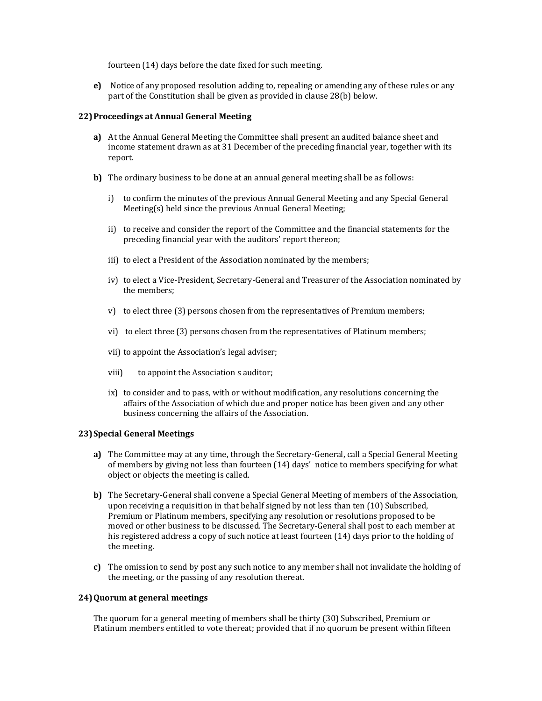fourteen (14) days before the date fixed for such meeting.

**e)** Notice of any proposed resolution adding to, repealing or amending any of these rules or any part of the Constitution shall be given as provided in clause 28(b) below.

# **22)Proceedings at Annual General Meeting**

- **a)** At the Annual General Meeting the Committee shall present an audited balance sheet and income statement drawn as at 31 December of the preceding financial year, together with its report.
- **b)** The ordinary business to be done at an annual general meeting shall be as follows:
	- i) to confirm the minutes of the previous Annual General Meeting and any Special General Meeting(s) held since the previous Annual General Meeting;
	- ii) to receive and consider the report of the Committee and the financial statements for the preceding financial year with the auditors' report thereon;
	- iii) to elect a President of the Association nominated by the members;
	- iv) to elect a Vice-President, Secretary-General and Treasurer of the Association nominated by the members;
	- v) to elect three (3) persons chosen from the representatives of Premium members;
	- vi) to elect three (3) persons chosen from the representatives of Platinum members;
	- vii) to appoint the Association's legal adviser;
	- viii) to appoint the Association s auditor;
	- ix) to consider and to pass, with or without modification, any resolutions concerning the affairs of the Association of which due and proper notice has been given and any other business concerning the affairs of the Association.

# **23)Special General Meetings**

- **a)** The Committee may at any time, through the Secretary-General, call a Special General Meeting of members by giving not less than fourteen (14) days' notice to members specifying for what object or objects the meeting is called.
- **b)** The Secretary-General shall convene a Special General Meeting of members of the Association, upon receiving a requisition in that behalf signed by not less than ten (10) Subscribed, Premium or Platinum members, specifying any resolution or resolutions proposed to be moved or other business to be discussed. The Secretary-General shall post to each member at his registered address a copy of such notice at least fourteen (14) days prior to the holding of the meeting.
- **c)** The omission to send by post any such notice to any member shall not invalidate the holding of the meeting, or the passing of any resolution thereat.

# **24)Quorum at general meetings**

The quorum for a general meeting of members shall be thirty (30) Subscribed, Premium or Platinum members entitled to vote thereat; provided that if no quorum be present within fifteen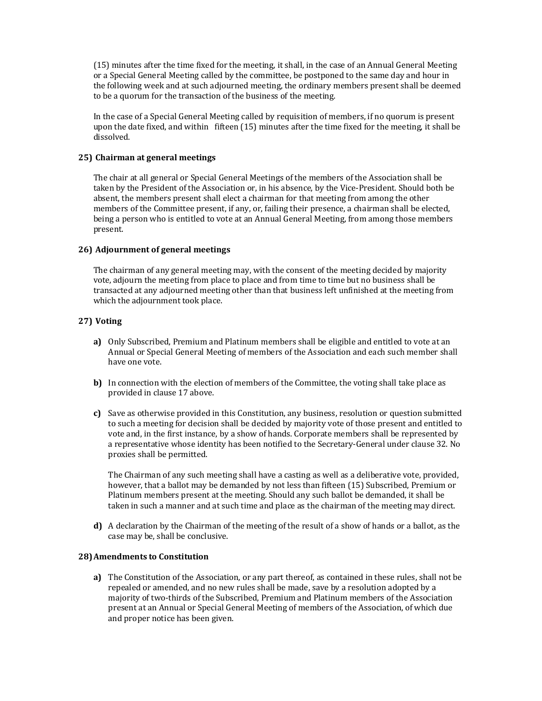(15) minutes after the time fixed for the meeting, it shall, in the case of an Annual General Meeting or a Special General Meeting called by the committee, be postponed to the same day and hour in the following week and at such adjourned meeting, the ordinary members present shall be deemed to be a quorum for the transaction of the business of the meeting.

In the case of a Special General Meeting called by requisition of members, if no quorum is present upon the date fixed, and within fifteen (15) minutes after the time fixed for the meeting, it shall be dissolved.

# **25) Chairman at general meetings**

The chair at all general or Special General Meetings of the members of the Association shall be taken by the President of the Association or, in his absence, by the Vice-President. Should both be absent, the members present shall elect a chairman for that meeting from among the other members of the Committee present, if any, or, failing their presence, a chairman shall be elected, being a person who is entitled to vote at an Annual General Meeting, from among those members present.

# **26) Adjournment of general meetings**

The chairman of any general meeting may, with the consent of the meeting decided by majority vote, adjourn the meeting from place to place and from time to time but no business shall be transacted at any adjourned meeting other than that business left unfinished at the meeting from which the adjournment took place.

# **27) Voting**

- **a)** Only Subscribed, Premium and Platinum members shall be eligible and entitled to vote at an Annual or Special General Meeting of members of the Association and each such member shall have one vote.
- **b)** In connection with the election of members of the Committee, the voting shall take place as provided in clause 17 above.
- **c)** Save as otherwise provided in this Constitution, any business, resolution or question submitted to such a meeting for decision shall be decided by majority vote of those present and entitled to vote and, in the first instance, by a show of hands. Corporate members shall be represented by a representative whose identity has been notified to the Secretary-General under clause 32. No proxies shall be permitted.

The Chairman of any such meeting shall have a casting as well as a deliberative vote, provided, however, that a ballot may be demanded by not less than fifteen (15) Subscribed, Premium or Platinum members present at the meeting. Should any such ballot be demanded, it shall be taken in such a manner and at such time and place as the chairman of the meeting may direct.

**d)** A declaration by the Chairman of the meeting of the result of a show of hands or a ballot, as the case may be, shall be conclusive.

# **28)Amendments to Constitution**

**a)** The Constitution of the Association, or any part thereof, as contained in these rules, shall not be repealed or amended, and no new rules shall be made, save by a resolution adopted by a majority of two-thirds of the Subscribed, Premium and Platinum members of the Association present at an Annual or Special General Meeting of members of the Association, of which due and proper notice has been given.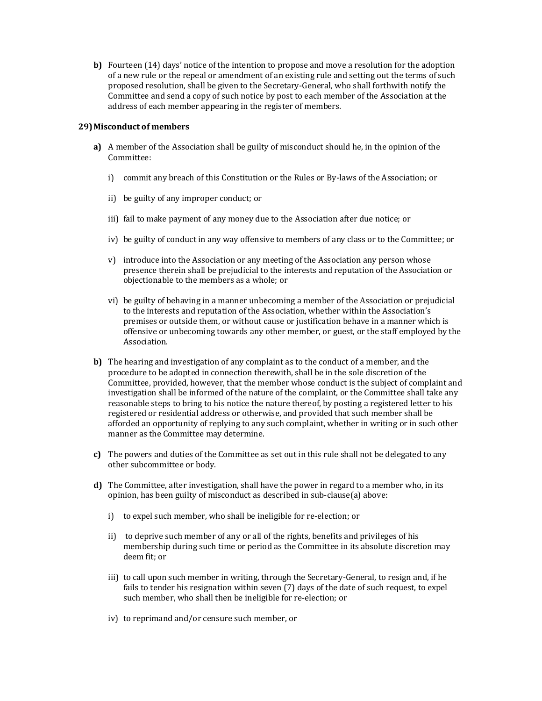**b)** Fourteen (14) days' notice of the intention to propose and move a resolution for the adoption of a new rule or the repeal or amendment of an existing rule and setting out the terms of such proposed resolution, shall be given to the Secretary-General, who shall forthwith notify the Committee and send a copy of such notice by post to each member of the Association at the address of each member appearing in the register of members.

# **29)Misconduct of members**

- **a)** A member of the Association shall be guilty of misconduct should he, in the opinion of the Committee:
	- i) commit any breach of this Constitution or the Rules or By-laws of the Association; or
	- ii) be guilty of any improper conduct; or
	- iii) fail to make payment of any money due to the Association after due notice; or
	- iv) be guilty of conduct in any way offensive to members of any class or to the Committee; or
	- v) introduce into the Association or any meeting of the Association any person whose presence therein shall be prejudicial to the interests and reputation of the Association or objectionable to the members as a whole; or
	- vi) be guilty of behaving in a manner unbecoming a member of the Association or prejudicial to the interests and reputation of the Association, whether within the Association's premises or outside them, or without cause or justification behave in a manner which is offensive or unbecoming towards any other member, or guest, or the staff employed by the Association.
- **b)** The hearing and investigation of any complaint as to the conduct of a member, and the procedure to be adopted in connection therewith, shall be in the sole discretion of the Committee, provided, however, that the member whose conduct is the subject of complaint and investigation shall be informed of the nature of the complaint, or the Committee shall take any reasonable steps to bring to his notice the nature thereof, by posting a registered letter to his registered or residential address or otherwise, and provided that such member shall be afforded an opportunity of replying to any such complaint, whether in writing or in such other manner as the Committee may determine.
- **c)** The powers and duties of the Committee as set out in this rule shall not be delegated to any other subcommittee or body.
- **d)** The Committee, after investigation, shall have the power in regard to a member who, in its opinion, has been guilty of misconduct as described in sub-clause(a) above:
	- i) to expel such member, who shall be ineligible for re-election; or
	- ii) to deprive such member of any or all of the rights, benefits and privileges of his membership during such time or period as the Committee in its absolute discretion may deem fit; or
	- iii) to call upon such member in writing, through the Secretary-General, to resign and, if he fails to tender his resignation within seven (7) days of the date of such request, to expel such member, who shall then be ineligible for re-election; or
	- iv) to reprimand and/or censure such member, or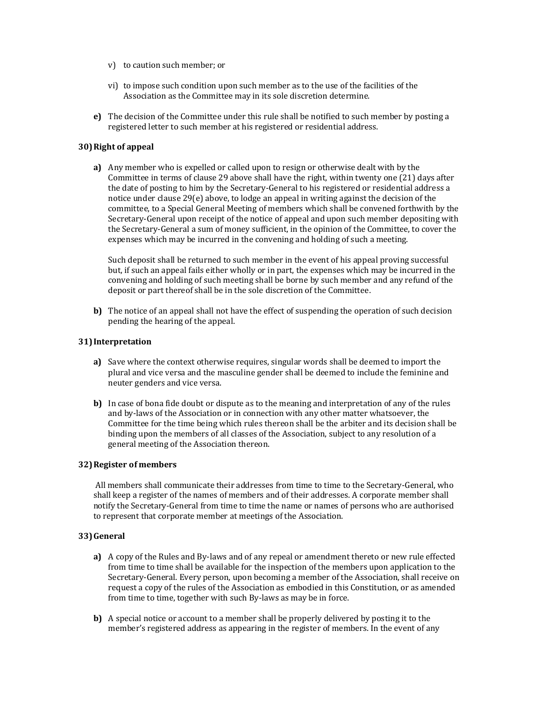- v) to caution such member; or
- vi) to impose such condition upon such member as to the use of the facilities of the Association as the Committee may in its sole discretion determine.
- **e)** The decision of the Committee under this rule shall be notified to such member by posting a registered letter to such member at his registered or residential address.

## **30)Right of appeal**

**a)** Any member who is expelled or called upon to resign or otherwise dealt with by the Committee in terms of clause 29 above shall have the right, within twenty one (21) days after the date of posting to him by the Secretary-General to his registered or residential address a notice under clause 29(e) above, to lodge an appeal in writing against the decision of the committee, to a Special General Meeting of members which shall be convened forthwith by the Secretary-General upon receipt of the notice of appeal and upon such member depositing with the Secretary-General a sum of money sufficient, in the opinion of the Committee, to cover the expenses which may be incurred in the convening and holding of such a meeting.

Such deposit shall be returned to such member in the event of his appeal proving successful but, if such an appeal fails either wholly or in part, the expenses which may be incurred in the convening and holding of such meeting shall be borne by such member and any refund of the deposit or part thereof shall be in the sole discretion of the Committee.

**b)** The notice of an appeal shall not have the effect of suspending the operation of such decision pending the hearing of the appeal.

# **31)Interpretation**

- **a)** Save where the context otherwise requires, singular words shall be deemed to import the plural and vice versa and the masculine gender shall be deemed to include the feminine and neuter genders and vice versa.
- **b)** In case of bona fide doubt or dispute as to the meaning and interpretation of any of the rules and by-laws of the Association or in connection with any other matter whatsoever, the Committee for the time being which rules thereon shall be the arbiter and its decision shall be binding upon the members of all classes of the Association, subject to any resolution of a general meeting of the Association thereon.

#### **32)Register of members**

All members shall communicate their addresses from time to time to the Secretary-General, who shall keep a register of the names of members and of their addresses. A corporate member shall notify the Secretary-General from time to time the name or names of persons who are authorised to represent that corporate member at meetings of the Association.

# **33)General**

- **a)** A copy of the Rules and By-laws and of any repeal or amendment thereto or new rule effected from time to time shall be available for the inspection of the members upon application to the Secretary-General. Every person, upon becoming a member of the Association, shall receive on request a copy of the rules of the Association as embodied in this Constitution, or as amended from time to time, together with such By-laws as may be in force.
- **b)** A special notice or account to a member shall be properly delivered by posting it to the member's registered address as appearing in the register of members. In the event of any